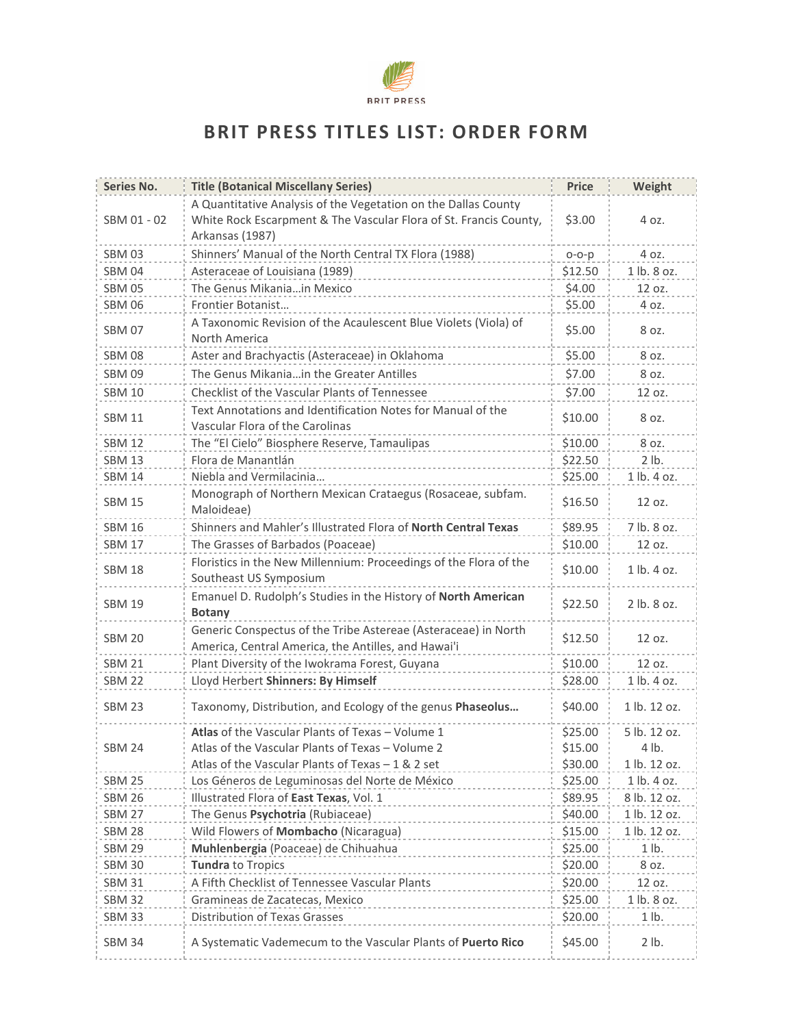

## BRIT PRESS TITLES LIST: ORDER FORM

| Series No.    | <b>Title (Botanical Miscellany Series)</b>                                                                                                             | <b>Price</b> | Weight          |
|---------------|--------------------------------------------------------------------------------------------------------------------------------------------------------|--------------|-----------------|
| SBM 01 - 02   | A Quantitative Analysis of the Vegetation on the Dallas County<br>White Rock Escarpment & The Vascular Flora of St. Francis County,<br>Arkansas (1987) | \$3.00       | 4 oz.           |
| <b>SBM 03</b> | Shinners' Manual of the North Central TX Flora (1988)                                                                                                  | $O-O-p$      | 4 oz.           |
| <b>SBM 04</b> | Asteraceae of Louisiana (1989)                                                                                                                         | \$12.50      | 1 lb. 8 oz.     |
| <b>SBM 05</b> | The Genus Mikaniain Mexico                                                                                                                             | \$4.00       | 12 oz.          |
| <b>SBM 06</b> | Frontier Botanist                                                                                                                                      | \$5.00       | 4 oz.           |
| <b>SBM 07</b> | A Taxonomic Revision of the Acaulescent Blue Violets (Viola) of<br>North America                                                                       | \$5.00       | 8 oz.           |
| <b>SBM 08</b> | Aster and Brachyactis (Asteraceae) in Oklahoma                                                                                                         | \$5.00       | 8 oz.           |
| <b>SBM 09</b> | The Genus Mikania in the Greater Antilles                                                                                                              | \$7.00       | 8 oz.           |
| <b>SBM 10</b> | Checklist of the Vascular Plants of Tennessee                                                                                                          | \$7.00       | 12 oz.          |
| <b>SBM 11</b> | Text Annotations and Identification Notes for Manual of the<br>Vascular Flora of the Carolinas                                                         | \$10.00      | 8 oz.           |
| <b>SBM 12</b> | The "El Cielo" Biosphere Reserve, Tamaulipas                                                                                                           | \$10.00      | 8 oz.           |
| <b>SBM 13</b> | Flora de Manantlán                                                                                                                                     | \$22.50      | 2 lb.           |
| <b>SBM 14</b> | Niebla and Vermilacinia                                                                                                                                | \$25.00      | 1 lb. 4 oz.     |
| <b>SBM 15</b> | Monograph of Northern Mexican Crataegus (Rosaceae, subfam.<br>Maloideae)                                                                               | \$16.50      | 12 oz.          |
| <b>SBM 16</b> | Shinners and Mahler's Illustrated Flora of North Central Texas                                                                                         | \$89.95      | 7 lb. 8 oz.     |
| <b>SBM 17</b> | The Grasses of Barbados (Poaceae)                                                                                                                      | \$10.00      | 12 oz.          |
| <b>SBM 18</b> | Floristics in the New Millennium: Proceedings of the Flora of the<br>Southeast US Symposium                                                            | \$10.00      | $1$ lb. $4$ oz. |
| <b>SBM 19</b> | Emanuel D. Rudolph's Studies in the History of North American<br><b>Botany</b>                                                                         | \$22.50      | 2 lb. 8 oz.     |
| <b>SBM 20</b> | Generic Conspectus of the Tribe Astereae (Asteraceae) in North<br>America, Central America, the Antilles, and Hawai'i                                  | \$12.50      | 12 oz.          |
| <b>SBM 21</b> | Plant Diversity of the Iwokrama Forest, Guyana                                                                                                         | \$10.00      | 12 oz.          |
| <b>SBM 22</b> | Lloyd Herbert Shinners: By Himself                                                                                                                     | \$28.00      | 1 lb. 4 oz.     |
| <b>SBM 23</b> | Taxonomy, Distribution, and Ecology of the genus Phaseolus                                                                                             | \$40.00      | 1 lb. 12 oz.    |
|               | Atlas of the Vascular Plants of Texas - Volume 1                                                                                                       | \$25.00      | 5 lb. 12 oz.    |
| <b>SBM 24</b> | Atlas of the Vascular Plants of Texas - Volume 2                                                                                                       | \$15.00      | 4 lb.           |
|               | Atlas of the Vascular Plants of Texas $-1$ & 2 set                                                                                                     | \$30.00      | 1 lb. 12 oz.    |
| <b>SBM 25</b> | Los Géneros de Leguminosas del Norte de México                                                                                                         | \$25.00      | 1 lb. 4 oz.     |
| <b>SBM 26</b> | Illustrated Flora of East Texas, Vol. 1                                                                                                                | \$89.95      | 8 lb. 12 oz.    |
| <b>SBM 27</b> | The Genus Psychotria (Rubiaceae)                                                                                                                       | \$40.00      | 1 lb. 12 oz.    |
| <b>SBM 28</b> | Wild Flowers of Mombacho (Nicaragua)                                                                                                                   | \$15.00      | 1 lb. 12 oz.    |
| <b>SBM 29</b> | Muhlenbergia (Poaceae) de Chihuahua                                                                                                                    | \$25.00      | $1$ lb.         |
| <b>SBM 30</b> | Tundra to Tropics                                                                                                                                      | \$20.00      | 8 oz.           |
| <b>SBM 31</b> | A Fifth Checklist of Tennessee Vascular Plants                                                                                                         | \$20.00      | 12 oz.          |
| <b>SBM 32</b> | Gramineas de Zacatecas, Mexico                                                                                                                         | \$25.00      | 1 lb. 8 oz.     |
| <b>SBM 33</b> | Distribution of Texas Grasses                                                                                                                          | \$20.00      | $1$ lb.         |
| <b>SBM 34</b> | A Systematic Vademecum to the Vascular Plants of Puerto Rico                                                                                           | \$45.00      | 2 lb.           |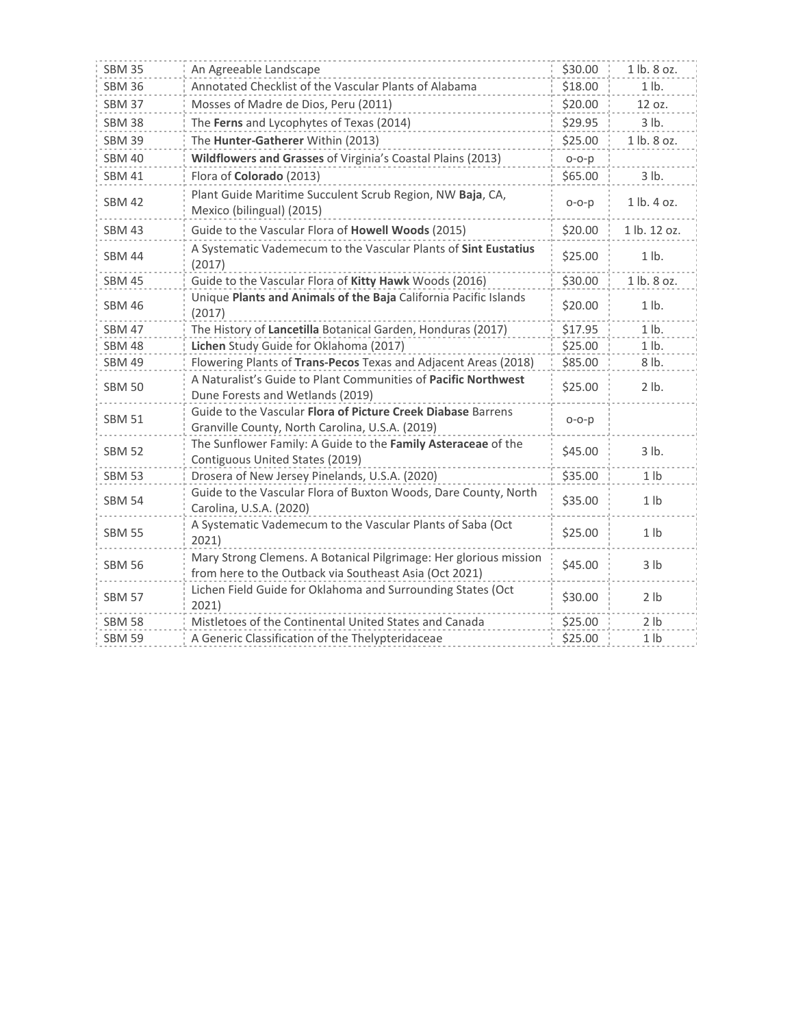| <b>SBM 35</b> | An Agreeable Landscape                                                                                                      | \$30.00   | 1 lb. 8 oz.     |
|---------------|-----------------------------------------------------------------------------------------------------------------------------|-----------|-----------------|
| <b>SBM 36</b> | Annotated Checklist of the Vascular Plants of Alabama                                                                       | \$18.00   | $1$ lb.         |
| <b>SBM 37</b> | Mosses of Madre de Dios, Peru (2011)                                                                                        | \$20.00   | 12 oz.          |
| <b>SBM 38</b> | The Ferns and Lycophytes of Texas (2014)                                                                                    |           | 3 lb.           |
| <b>SBM 39</b> | The Hunter-Gatherer Within (2013)                                                                                           | \$25.00   | 1 lb. 8 oz.     |
| <b>SBM 40</b> | Wildflowers and Grasses of Virginia's Coastal Plains (2013)                                                                 | $O-O-p$   |                 |
| <b>SBM 41</b> | Flora of Colorado (2013)                                                                                                    | \$65.00   | 3 lb.           |
| <b>SBM 42</b> | Plant Guide Maritime Succulent Scrub Region, NW Baja, CA,<br>$o-o-p$<br>Mexico (bilingual) (2015)                           |           | 1 lb. 4 oz.     |
| <b>SBM 43</b> | Guide to the Vascular Flora of Howell Woods (2015)<br>\$20.00                                                               |           | 1 lb. 12 oz.    |
| <b>SBM 44</b> | A Systematic Vademecum to the Vascular Plants of Sint Eustatius<br>(2017)                                                   | \$25.00   | $1$ lb.         |
| <b>SBM 45</b> | Guide to the Vascular Flora of Kitty Hawk Woods (2016)                                                                      | \$30.00   | 1 lb. 8 oz.     |
| <b>SBM 46</b> | Unique Plants and Animals of the Baja California Pacific Islands<br>(2017)                                                  | \$20.00   | $1$ lb.         |
| <b>SBM 47</b> | The History of Lancetilla Botanical Garden, Honduras (2017)                                                                 | \$17.95   | $1$ lb.         |
| <b>SBM 48</b> | Lichen Study Guide for Oklahoma (2017)                                                                                      | \$25.00   | $1$ lb.         |
| <b>SBM 49</b> | Flowering Plants of Trans-Pecos Texas and Adjacent Areas (2018)                                                             | \$85.00   | 8 lb.           |
| <b>SBM 50</b> | A Naturalist's Guide to Plant Communities of Pacific Northwest<br>Dune Forests and Wetlands (2019)                          | \$25.00   | 2 lb.           |
| <b>SBM 51</b> | Guide to the Vascular Flora of Picture Creek Diabase Barrens<br>Granville County, North Carolina, U.S.A. (2019)             | $O-O - D$ |                 |
| <b>SBM 52</b> | The Sunflower Family: A Guide to the Family Asteraceae of the<br>Contiguous United States (2019)                            | \$45.00   | 3 lb.           |
| <b>SBM 53</b> | Drosera of New Jersey Pinelands, U.S.A. (2020)                                                                              | \$35.00   | 1 <sub>1</sub>  |
| <b>SBM 54</b> | Guide to the Vascular Flora of Buxton Woods, Dare County, North<br>Carolina, U.S.A. (2020)                                  | \$35.00   | 1 <sub>1</sub>  |
| <b>SBM 55</b> | A Systematic Vademecum to the Vascular Plants of Saba (Oct<br>2021)                                                         | \$25.00   | 1 <sub>lb</sub> |
| <b>SBM 56</b> | Mary Strong Clemens. A Botanical Pilgrimage: Her glorious mission<br>from here to the Outback via Southeast Asia (Oct 2021) | \$45.00   | 3 lb            |
| <b>SBM 57</b> | Lichen Field Guide for Oklahoma and Surrounding States (Oct<br>2021)                                                        | \$30.00   | 2 lb            |
| <b>SBM 58</b> | Mistletoes of the Continental United States and Canada                                                                      | \$25.00   | 2 lb            |
| <b>SBM 59</b> | A Generic Classification of the Thelypteridaceae                                                                            | \$25.00   | 1 <sub>1</sub>  |